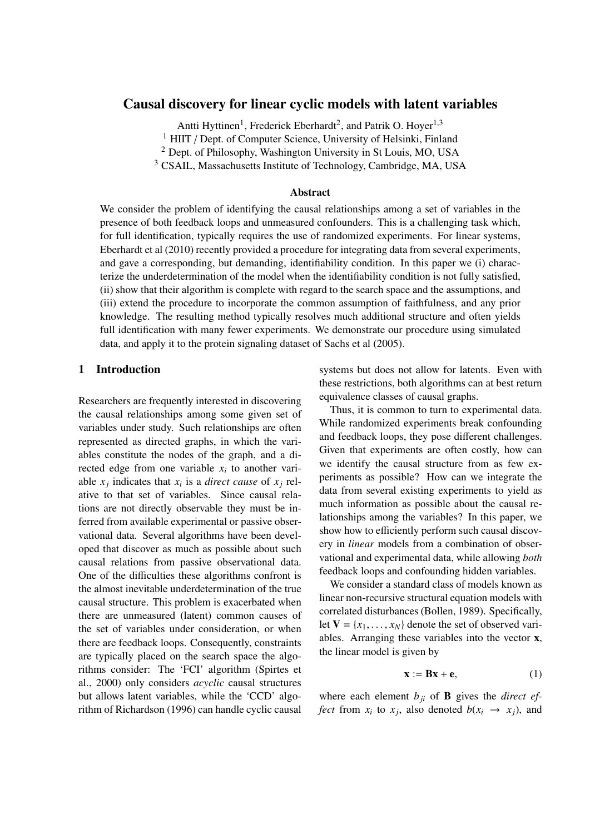# Causal discovery for linear cyclic models with latent variables

Antti Hyttinen<sup>1</sup>, Frederick Eberhardt<sup>2</sup>, and Patrik O. Hoyer<sup>1,3</sup>

<sup>1</sup> HIIT / Dept. of Computer Science, University of Helsinki, Finland

<sup>2</sup> Dept. of Philosophy, Washington University in St Louis, MO, USA

<sup>3</sup> CSAIL, Massachusetts Institute of Technology, Cambridge, MA, USA

#### Abstract

We consider the problem of identifying the causal relationships among a set of variables in the presence of both feedback loops and unmeasured confounders. This is a challenging task which, for full identification, typically requires the use of randomized experiments. For linear systems, Eberhardt et al (2010) recently provided a procedure for integrating data from several experiments, and gave a corresponding, but demanding, identifiability condition. In this paper we (i) characterize the underdetermination of the model when the identifiability condition is not fully satisfied, (ii) show that their algorithm is complete with regard to the search space and the assumptions, and (iii) extend the procedure to incorporate the common assumption of faithfulness, and any prior knowledge. The resulting method typically resolves much additional structure and often yields full identification with many fewer experiments. We demonstrate our procedure using simulated data, and apply it to the protein signaling dataset of Sachs et al (2005).

#### 1 Introduction

Researchers are frequently interested in discovering the causal relationships among some given set of variables under study. Such relationships are often represented as directed graphs, in which the variables constitute the nodes of the graph, and a directed edge from one variable  $x_i$  to another variable  $x_i$  indicates that  $x_i$  is a *direct cause* of  $x_i$  relative to that set of variables. Since causal relations are not directly observable they must be inferred from available experimental or passive observational data. Several algorithms have been developed that discover as much as possible about such causal relations from passive observational data. One of the difficulties these algorithms confront is the almost inevitable underdetermination of the true causal structure. This problem is exacerbated when there are unmeasured (latent) common causes of the set of variables under consideration, or when there are feedback loops. Consequently, constraints are typically placed on the search space the algorithms consider: The 'FCI' algorithm (Spirtes et al., 2000) only considers *acyclic* causal structures but allows latent variables, while the 'CCD' algorithm of Richardson (1996) can handle cyclic causal

systems but does not allow for latents. Even with these restrictions, both algorithms can at best return equivalence classes of causal graphs.

Thus, it is common to turn to experimental data. While randomized experiments break confounding and feedback loops, they pose different challenges. Given that experiments are often costly, how can we identify the causal structure from as few experiments as possible? How can we integrate the data from several existing experiments to yield as much information as possible about the causal relationships among the variables? In this paper, we show how to efficiently perform such causal discovery in *linear* models from a combination of observational and experimental data, while allowing *both* feedback loops and confounding hidden variables.

We consider a standard class of models known as linear non-recursive structural equation models with correlated disturbances (Bollen, 1989). Specifically, let  $V = \{x_1, \ldots, x_N\}$  denote the set of observed variables. Arranging these variables into the vector x, the linear model is given by

$$
\mathbf{x} := \mathbf{B}\mathbf{x} + \mathbf{e},\tag{1}
$$

where each element  $b_{ji}$  of **B** gives the *direct effect* from  $x_i$  to  $x_j$ , also denoted  $b(x_i \rightarrow x_j)$ , and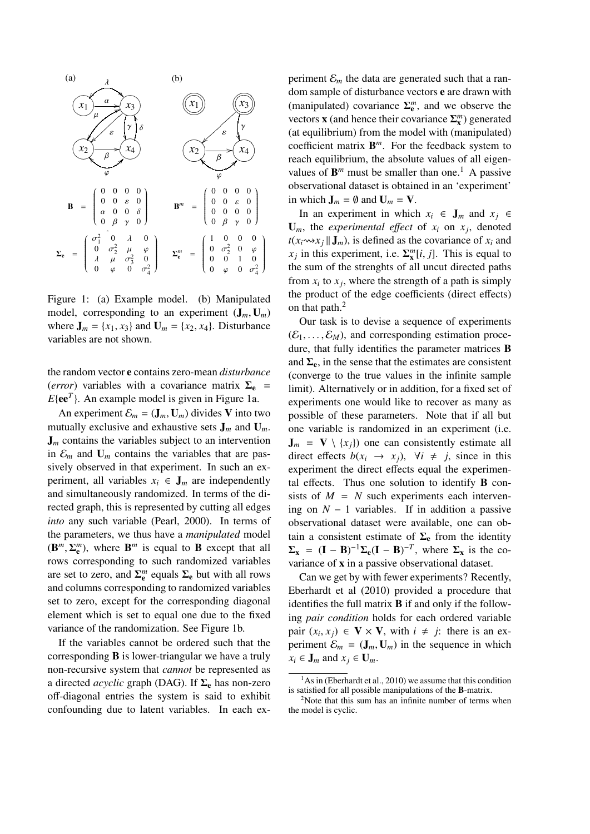

Figure 1: (a) Example model. (b) Manipulated model, corresponding to an experiment  $(J_m, U_m)$ where  $J_m = \{x_1, x_3\}$  and  $U_m = \{x_2, x_4\}$ . Disturbance variables are not shown.

the random vector e contains zero-mean *disturbance* (*error*) variables with a covariance matrix  $\Sigma_e$  =  $E{ee<sup>T</sup>}$ . An example model is given in Figure 1a.

An experiment  $\mathcal{E}_m = (\mathbf{J}_m, \mathbf{U}_m)$  divides V into two mutually exclusive and exhaustive sets J*<sup>m</sup>* and U*m*.  $J_m$  contains the variables subject to an intervention in  $\mathcal{E}_m$  and  $\mathbf{U}_m$  contains the variables that are passively observed in that experiment. In such an experiment, all variables  $x_i \in J_m$  are independently and simultaneously randomized. In terms of the directed graph, this is represented by cutting all edges *into* any such variable (Pearl, 2000). In terms of the parameters, we thus have a *manipulated* model  $(\mathbf{B}^m, \Sigma_{\mathbf{e}}^m)$ , where  $\mathbf{B}^m$  is equal to **B** except that all rows corresponding to such randomized variables are set to zero, and  $\Sigma_{\rm e}^m$  equals  $\Sigma_{\rm e}$  but with all rows and columns corresponding to randomized variables set to zero, except for the corresponding diagonal element which is set to equal one due to the fixed variance of the randomization. See Figure 1b.

If the variables cannot be ordered such that the corresponding B is lower-triangular we have a truly non-recursive system that *cannot* be represented as a directed *acyclic* graph (DAG). If  $\Sigma_e$  has non-zero off-diagonal entries the system is said to exhibit confounding due to latent variables. In each ex-

periment  $\mathcal{E}_m$  the data are generated such that a random sample of disturbance vectors e are drawn with (manipulated) covariance  $\Sigma_{\rm e}^m$ , and we observe the vectors **x** (and hence their covariance  $\Sigma_{\mathbf{x}}^{m}$ ) generated (at equilibrium) from the model with (manipulated) coefficient matrix B*m*. For the feedback system to reach equilibrium, the absolute values of all eigenvalues of  $\mathbf{B}^m$  must be smaller than one.<sup>1</sup> A passive observational dataset is obtained in an 'experiment' in which  $J_m = \emptyset$  and  $U_m = V$ .

In an experiment in which  $x_i$  ∈  $J_m$  and  $x_j$  ∈  $U_m$ , the *experimental effect* of  $x_i$  on  $x_j$ , denoted  $t(x_i \rightsquigarrow x_j || \mathbf{J}_m)$ , is defined as the covariance of  $x_i$  and  $x_j$  in this experiment, i.e.  $\Sigma^m_{\mathbf{x}}[i, j]$ . This is equal to the sum of the strenghts of all uncut directed paths from  $x_i$  to  $x_j$ , where the strength of a path is simply the product of the edge coefficients (direct effects) on that path.<sup>2</sup>

Our task is to devise a sequence of experiments  $(\mathcal{E}_1,\ldots,\mathcal{E}_M)$ , and corresponding estimation procedure, that fully identifies the parameter matrices B and  $\Sigma_e$ , in the sense that the estimates are consistent (converge to the true values in the infinite sample limit). Alternatively or in addition, for a fixed set of experiments one would like to recover as many as possible of these parameters. Note that if all but one variable is randomized in an experiment (i.e.  $J_m = V \setminus \{x_i\}$  one can consistently estimate all direct effects  $b(x_i \rightarrow x_j)$ ,  $\forall i \neq j$ , since in this experiment the direct effects equal the experimental effects. Thus one solution to identify B consists of  $M = N$  such experiments each intervening on  $N - 1$  variables. If in addition a passive observational dataset were available, one can obtain a consistent estimate of  $\Sigma_e$  from the identity  $\Sigma_{\mathbf{x}} = (\mathbf{I} - \mathbf{B})^{-1} \Sigma_{\mathbf{e}} (\mathbf{I} - \mathbf{B})^{-T}$ , where  $\Sigma_{\mathbf{x}}$  is the covariance of x in a passive observational dataset.

Can we get by with fewer experiments? Recently, Eberhardt et al (2010) provided a procedure that identifies the full matrix B if and only if the following *pair condition* holds for each ordered variable pair  $(x_i, x_j) \in V \times V$ , with  $i \neq j$ : there is an experiment  $\mathcal{E}_m = (\mathbf{J}_m, \mathbf{U}_m)$  in the sequence in which  $x_i \in J_m$  and  $x_j \in U_m$ .

 $1<sup>1</sup>$ As in (Eberhardt et al., 2010) we assume that this condition is satisfied for all possible manipulations of the B-matrix.

<sup>&</sup>lt;sup>2</sup>Note that this sum has an infinite number of terms when the model is cyclic.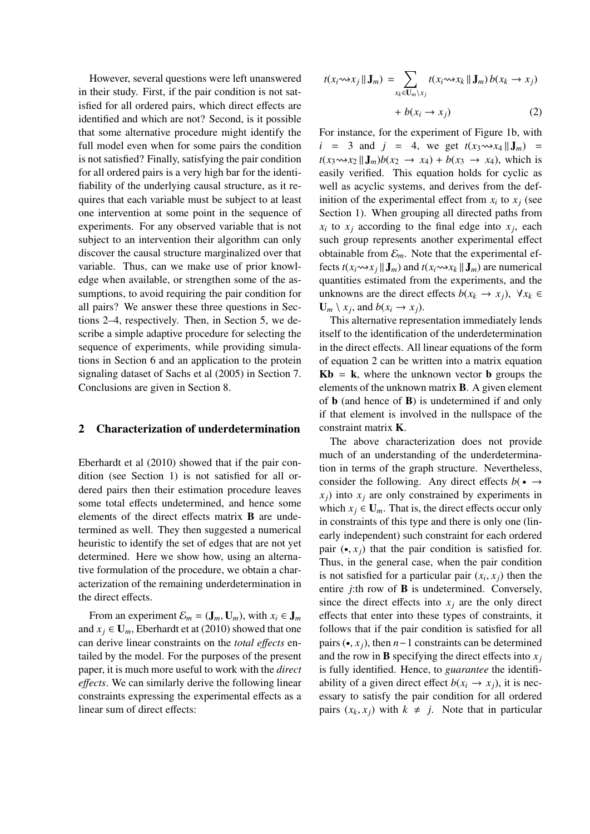However, several questions were left unanswered in their study. First, if the pair condition is not satisfied for all ordered pairs, which direct effects are identified and which are not? Second, is it possible that some alternative procedure might identify the full model even when for some pairs the condition is not satisfied? Finally, satisfying the pair condition for all ordered pairs is a very high bar for the identifiability of the underlying causal structure, as it requires that each variable must be subject to at least one intervention at some point in the sequence of experiments. For any observed variable that is not subject to an intervention their algorithm can only discover the causal structure marginalized over that variable. Thus, can we make use of prior knowledge when available, or strengthen some of the assumptions, to avoid requiring the pair condition for all pairs? We answer these three questions in Sections 2–4, respectively. Then, in Section 5, we describe a simple adaptive procedure for selecting the sequence of experiments, while providing simulations in Section 6 and an application to the protein signaling dataset of Sachs et al (2005) in Section 7. Conclusions are given in Section 8.

## 2 Characterization of underdetermination

Eberhardt et al (2010) showed that if the pair condition (see Section 1) is not satisfied for all ordered pairs then their estimation procedure leaves some total effects undetermined, and hence some elements of the direct effects matrix B are undetermined as well. They then suggested a numerical heuristic to identify the set of edges that are not yet determined. Here we show how, using an alternative formulation of the procedure, we obtain a characterization of the remaining underdetermination in the direct effects.

From an experiment  $\mathcal{E}_m = (\mathbf{J}_m, \mathbf{U}_m)$ , with  $x_i \in \mathbf{J}_m$ and  $x_j \in \mathbf{U}_m$ , Eberhardt et at (2010) showed that one can derive linear constraints on the *total e*ff*ects* entailed by the model. For the purposes of the present paper, it is much more useful to work with the *direct e*ff*ects*. We can similarly derive the following linear constraints expressing the experimental effects as a linear sum of direct effects:

$$
t(x_i \leadsto x_j || \mathbf{J}_m) = \sum_{x_k \in \mathbf{U}_m \setminus x_j} t(x_i \leadsto x_k || \mathbf{J}_m) b(x_k \to x_j)
$$
  
+  $b(x_i \to x_j)$  (2)

For instance, for the experiment of Figure 1b, with  $i = 3$  and  $j = 4$ , we get  $t(x_3 \rightarrow x_4 || J_m) =$  $t(x_3 \rightarrow x_2 || \mathbf{J}_m) b(x_2 \rightarrow x_4) + b(x_3 \rightarrow x_4)$ , which is easily verified. This equation holds for cyclic as well as acyclic systems, and derives from the definition of the experimental effect from  $x_i$  to  $x_j$  (see Section 1). When grouping all directed paths from  $x_i$  to  $x_j$  according to the final edge into  $x_j$ , each such group represents another experimental effect obtainable from  $\mathcal{E}_m$ . Note that the experimental effects  $t(x_i \rightarrow x_j || \mathbf{J}_m)$  and  $t(x_i \rightarrow x_k || \mathbf{J}_m)$  are numerical quantities estimated from the experiments, and the unknowns are the direct effects  $b(x_k \rightarrow x_i)$ ,  $\forall x_k \in$  $\mathbf{U}_m \setminus x_i$ , and  $b(x_i \rightarrow x_j)$ .

This alternative representation immediately lends itself to the identification of the underdetermination in the direct effects. All linear equations of the form of equation 2 can be written into a matrix equation  $Kb = k$ , where the unknown vector **b** groups the elements of the unknown matrix B. A given element of  $\bf{b}$  (and hence of  $\bf{B}$ ) is undetermined if and only if that element is involved in the nullspace of the constraint matrix K.

The above characterization does not provide much of an understanding of the underdetermination in terms of the graph structure. Nevertheless, consider the following. Any direct effects  $b(\bullet \rightarrow \bullet)$  $x_j$ ) into  $x_j$  are only constrained by experiments in which  $x_j \in \mathbf{U}_m$ . That is, the direct effects occur only in constraints of this type and there is only one (linearly independent) such constraint for each ordered pair  $(\bullet, x_i)$  that the pair condition is satisfied for. Thus, in the general case, when the pair condition is not satisfied for a particular pair  $(x_i, x_j)$  then the entire *j*:th row of **B** is undetermined. Conversely, since the direct effects into  $x_i$  are the only direct effects that enter into these types of constraints, it follows that if the pair condition is satisfied for all pairs (•, *xj*), then *n*−1 constraints can be determined and the row in **B** specifying the direct effects into  $x_i$ is fully identified. Hence, to *guarantee* the identifiability of a given direct effect  $b(x_i \rightarrow x_i)$ , it is necessary to satisfy the pair condition for all ordered pairs  $(x_k, x_i)$  with  $k \neq j$ . Note that in particular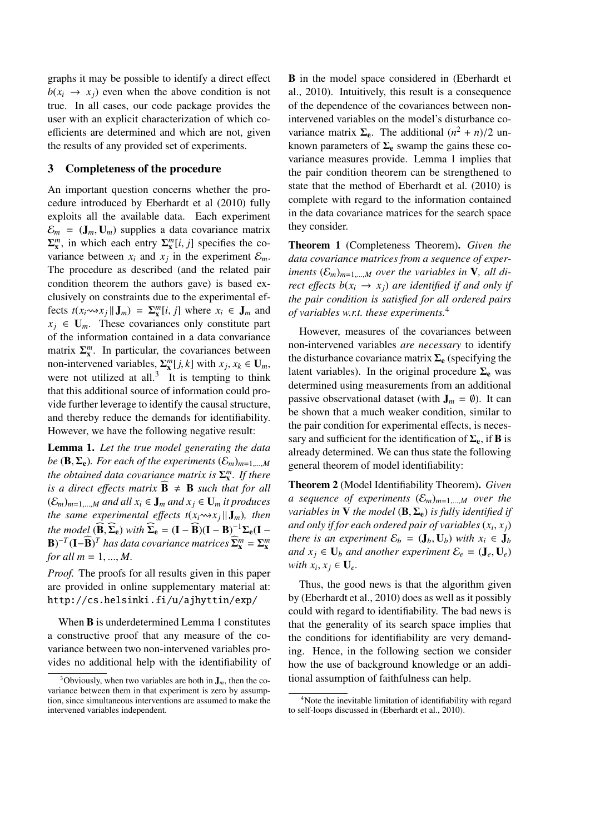graphs it may be possible to identify a direct effect  $b(x_i \rightarrow x_i)$  even when the above condition is not true. In all cases, our code package provides the user with an explicit characterization of which coefficients are determined and which are not, given the results of any provided set of experiments.

#### 3 Completeness of the procedure

An important question concerns whether the procedure introduced by Eberhardt et al (2010) fully exploits all the available data. Each experiment  $\mathcal{E}_m = (\mathbf{J}_m, \mathbf{U}_m)$  supplies a data covariance matrix  $\Sigma_{\mathbf{x}}^{m}$ , in which each entry  $\Sigma_{\mathbf{x}}^{m}[i, j]$  specifies the covariance between  $x_i$  and  $x_j$  in the experiment  $\mathcal{E}_m$ . The procedure as described (and the related pair condition theorem the authors gave) is based exclusively on constraints due to the experimental effects  $t(x_i \rightarrow x_j || \mathbf{J}_m) = \sum_{\mathbf{x}}^m [i, j]$  where  $x_i \in \mathbf{J}_m$  and  $x_i \in U_m$ . These covariances only constitute part of the information contained in a data convariance matrix  $\Sigma_{\mathbf{x}}^m$ . In particular, the covariances between non-intervened variables,  $\Sigma_{\mathbf{x}}^{m} [j, k]$  with  $x_j, x_k \in \mathbf{U}_m$ , were not utilized at all.<sup>3</sup> It is tempting to think that this additional source of information could provide further leverage to identify the causal structure, and thereby reduce the demands for identifiability. However, we have the following negative result:

Lemma 1. *Let the true model generating the data be* ( $\mathbf{B}, \Sigma_{e}$ )*. For each of the experiments*  $(\mathcal{E}_{m})_{m=1,\dots,M}$ *the obtained data covariance matrix is* Σ*<sup>m</sup>* <sup>x</sup> *. If there is a direct effects matrix*  $\mathbf{B} \neq \mathbf{B}$  *such that for all*  $(\mathcal{E}_m)_{m=1,\dots,M}$  and all  $x_i \in J_m$  and  $x_j \in U_m$  *it produces the same experimental effects*  $t(x_i \rightarrow x_j || J_m)$ *, then the model*  $(\widehat{\mathbf{B}},\widehat{\boldsymbol{\Sigma}}_{\mathbf{e}})$  *with*  $\widehat{\boldsymbol{\Sigma}}_{\mathbf{e}} = (\mathbf{I} - \widehat{\mathbf{B}})(\mathbf{I} - \mathbf{B})^{-1}\boldsymbol{\Sigma}_{\mathbf{e}}(\mathbf{I} - \mathbf{B})$  $(\mathbf{B})^{-T}(\mathbf{I}-\widehat{\mathbf{B}})^T$  *has data covariance matrices*  $\widehat{\mathbf{\Sigma}}_{\mathbf{x}}^m = \mathbf{\Sigma}_{\mathbf{x}}^m$ *for all m* = 1, ..., *M.*

*Proof.* The proofs for all results given in this paper are provided in online supplementary material at: http://cs.helsinki.fi/u/ajhyttin/exp/

When **B** is underdetermined Lemma 1 constitutes a constructive proof that any measure of the covariance between two non-intervened variables provides no additional help with the identifiability of B in the model space considered in (Eberhardt et al., 2010). Intuitively, this result is a consequence of the dependence of the covariances between nonintervened variables on the model's disturbance covariance matrix  $\Sigma_e$ . The additional  $(n^2 + n)/2$  unknown parameters of  $\Sigma_e$  swamp the gains these covariance measures provide. Lemma 1 implies that the pair condition theorem can be strengthened to state that the method of Eberhardt et al. (2010) is complete with regard to the information contained in the data covariance matrices for the search space they consider.

Theorem 1 (Completeness Theorem). *Given the data covariance matrices from a sequence of experiments*  $(\mathcal{E}_m)_{m=1,\dots,M}$  *over the variables in* **V***, all direct effects*  $b(x_i \rightarrow x_i)$  *are identified if and only if the pair condition is satisfied for all ordered pairs of variables w.r.t. these experiments.*<sup>4</sup>

However, measures of the covariances between non-intervened variables *are necessary* to identify the disturbance covariance matrix  $\Sigma_e$  (specifying the latent variables). In the original procedure  $\Sigma_e$  was determined using measurements from an additional passive observational dataset (with  $J_m = \emptyset$ ). It can be shown that a much weaker condition, similar to the pair condition for experimental effects, is necessary and sufficient for the identification of  $\Sigma_e$ , if **B** is already determined. We can thus state the following general theorem of model identifiability:

Theorem 2 (Model Identifiability Theorem). *Given a* sequence of experiments  $(\mathcal{E}_m)_{m=1,\dots,M}$  over the *variables in* **V** *the model*  $(B, \Sigma_e)$  *is fully identified if and only if for each ordered pair of variables*  $(x_i, x_j)$ *there is an experiment*  $\mathcal{E}_b = (\mathbf{J}_b, \mathbf{U}_b)$  *with*  $x_i \in \mathbf{J}_b$ *and*  $x_j \in U_b$  *and another experiment*  $\mathcal{E}_e = (\mathbf{J}_e, \mathbf{U}_e)$ *with*  $x_i, x_j \in U_e$ .

Thus, the good news is that the algorithm given by (Eberhardt et al., 2010) does as well as it possibly could with regard to identifiability. The bad news is that the generality of its search space implies that the conditions for identifiability are very demanding. Hence, in the following section we consider how the use of background knowledge or an additional assumption of faithfulness can help.

<sup>&</sup>lt;sup>3</sup>Obviously, when two variables are both in  $J<sub>m</sub>$ , then the covariance between them in that experiment is zero by assumption, since simultaneous interventions are assumed to make the intervened variables independent.

<sup>4</sup>Note the inevitable limitation of identifiability with regard to self-loops discussed in (Eberhardt et al., 2010).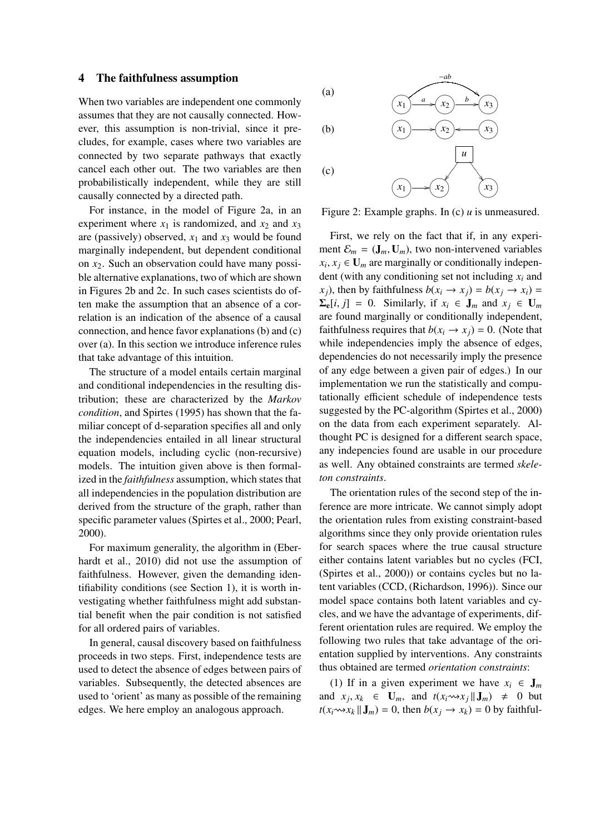#### 4 The faithfulness assumption

When two variables are independent one commonly assumes that they are not causally connected. However, this assumption is non-trivial, since it precludes, for example, cases where two variables are connected by two separate pathways that exactly cancel each other out. The two variables are then probabilistically independent, while they are still causally connected by a directed path.

For instance, in the model of Figure 2a, in an experiment where  $x_1$  is randomized, and  $x_2$  and  $x_3$ are (passively) observed,  $x_1$  and  $x_3$  would be found marginally independent, but dependent conditional on *x*2. Such an observation could have many possible alternative explanations, two of which are shown in Figures 2b and 2c. In such cases scientists do often make the assumption that an absence of a correlation is an indication of the absence of a causal connection, and hence favor explanations (b) and (c) over (a). In this section we introduce inference rules that take advantage of this intuition.

The structure of a model entails certain marginal and conditional independencies in the resulting distribution; these are characterized by the *Markov condition*, and Spirtes (1995) has shown that the familiar concept of d-separation specifies all and only the independencies entailed in all linear structural equation models, including cyclic (non-recursive) models. The intuition given above is then formalized in the *faithfulness* assumption, which states that all independencies in the population distribution are derived from the structure of the graph, rather than specific parameter values (Spirtes et al., 2000; Pearl, 2000).

For maximum generality, the algorithm in (Eberhardt et al., 2010) did not use the assumption of faithfulness. However, given the demanding identifiability conditions (see Section 1), it is worth investigating whether faithfulness might add substantial benefit when the pair condition is not satisfied for all ordered pairs of variables.

In general, causal discovery based on faithfulness proceeds in two steps. First, independence tests are used to detect the absence of edges between pairs of variables. Subsequently, the detected absences are used to 'orient' as many as possible of the remaining edges. We here employ an analogous approach.



Figure 2: Example graphs. In (c) *u* is unmeasured.

First, we rely on the fact that if, in any experiment  $\mathcal{E}_m = (\mathbf{J}_m, \mathbf{U}_m)$ , two non-intervened variables  $x_i, x_j \in \mathbf{U}_m$  are marginally or conditionally independent (with any conditioning set not including *xi* and  $x_i$ ), then by faithfulness  $b(x_i \rightarrow x_j) = b(x_j \rightarrow x_i) = b(x_j \rightarrow x_j)$  $\Sigma_{\mathbf{e}}[i, j] = 0$ . Similarly, if  $x_i \in \mathbf{J}_m$  and  $x_j \in \mathbf{U}_m$ are found marginally or conditionally independent, faithfulness requires that  $b(x_i \rightarrow x_j) = 0$ . (Note that while independencies imply the absence of edges, dependencies do not necessarily imply the presence of any edge between a given pair of edges.) In our implementation we run the statistically and computationally efficient schedule of independence tests suggested by the PC-algorithm (Spirtes et al., 2000) on the data from each experiment separately. Althought PC is designed for a different search space, any indepencies found are usable in our procedure as well. Any obtained constraints are termed *skeleton constraints*.

The orientation rules of the second step of the inference are more intricate. We cannot simply adopt the orientation rules from existing constraint-based algorithms since they only provide orientation rules for search spaces where the true causal structure either contains latent variables but no cycles (FCI, (Spirtes et al., 2000)) or contains cycles but no latent variables (CCD, (Richardson, 1996)). Since our model space contains both latent variables and cycles, and we have the advantage of experiments, different orientation rules are required. We employ the following two rules that take advantage of the orientation supplied by interventions. Any constraints thus obtained are termed *orientation constraints*:

(1) If in a given experiment we have  $x_i \in J_m$ and  $x_j, x_k \in \mathbf{U}_m$ , and  $t(x_i \rightsquigarrow x_j || \mathbf{J}_m) \neq 0$  but  $t(x_i \rightarrow x_k || \mathbf{J}_m) = 0$ , then  $b(x_i \rightarrow x_k) = 0$  by faithful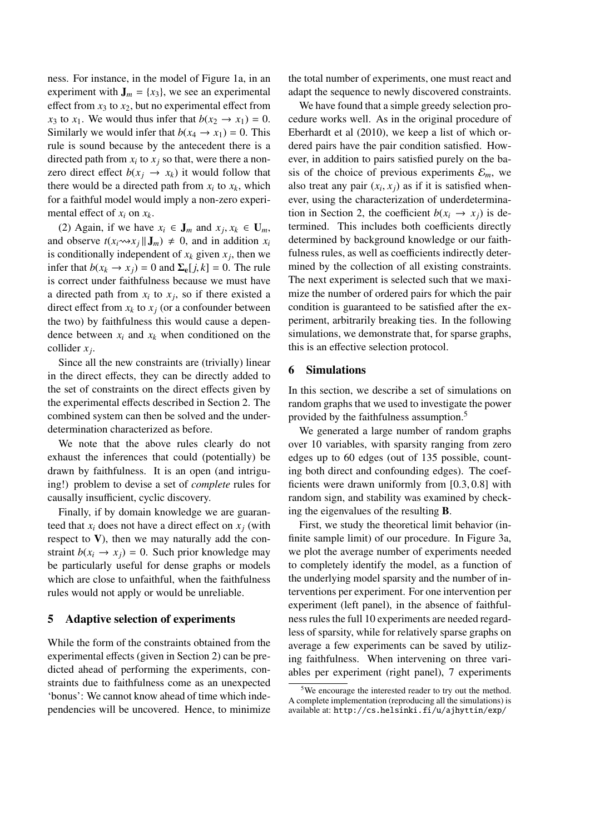ness. For instance, in the model of Figure 1a, in an experiment with  $J_m = \{x_3\}$ , we see an experimental effect from  $x_3$  to  $x_2$ , but no experimental effect from *x*<sub>3</sub> to *x*<sub>1</sub>. We would thus infer that  $b(x_2 \rightarrow x_1) = 0$ . Similarly we would infer that  $b(x_4 \rightarrow x_1) = 0$ . This rule is sound because by the antecedent there is a directed path from  $x_i$  to  $x_j$  so that, were there a nonzero direct effect  $b(x_i \rightarrow x_k)$  it would follow that there would be a directed path from  $x_i$  to  $x_k$ , which for a faithful model would imply a non-zero experimental effect of *xi* on *xk*.

(2) Again, if we have  $x_i \in J_m$  and  $x_j, x_k \in U_m$ , and observe  $t(x_i \rightarrow x_i || \mathbf{J}_m) \neq 0$ , and in addition  $x_i$ is conditionally independent of  $x_k$  given  $x_j$ , then we infer that  $b(x_k \to x_j) = 0$  and  $\Sigma_e[j, k] = 0$ . The rule is correct under faithfulness because we must have a directed path from  $x_i$  to  $x_j$ , so if there existed a direct effect from  $x_k$  to  $x_j$  (or a confounder between the two) by faithfulness this would cause a dependence between  $x_i$  and  $x_k$  when conditioned on the collider *xj*.

Since all the new constraints are (trivially) linear in the direct effects, they can be directly added to the set of constraints on the direct effects given by the experimental effects described in Section 2. The combined system can then be solved and the underdetermination characterized as before.

We note that the above rules clearly do not exhaust the inferences that could (potentially) be drawn by faithfulness. It is an open (and intriguing!) problem to devise a set of *complete* rules for causally insufficient, cyclic discovery.

Finally, if by domain knowledge we are guaranteed that  $x_i$  does not have a direct effect on  $x_i$  (with respect to  $V$ ), then we may naturally add the constraint  $b(x_i \rightarrow x_j) = 0$ . Such prior knowledge may be particularly useful for dense graphs or models which are close to unfaithful, when the faithfulness rules would not apply or would be unreliable.

#### 5 Adaptive selection of experiments

While the form of the constraints obtained from the experimental effects (given in Section 2) can be predicted ahead of performing the experiments, constraints due to faithfulness come as an unexpected 'bonus': We cannot know ahead of time which independencies will be uncovered. Hence, to minimize the total number of experiments, one must react and adapt the sequence to newly discovered constraints.

We have found that a simple greedy selection procedure works well. As in the original procedure of Eberhardt et al (2010), we keep a list of which ordered pairs have the pair condition satisfied. However, in addition to pairs satisfied purely on the basis of the choice of previous experiments  $\mathcal{E}_m$ , we also treat any pair  $(x_i, x_j)$  as if it is satisfied whenever, using the characterization of underdetermination in Section 2, the coefficient  $b(x_i \rightarrow x_j)$  is determined. This includes both coefficients directly determined by background knowledge or our faithfulness rules, as well as coefficients indirectly determined by the collection of all existing constraints. The next experiment is selected such that we maximize the number of ordered pairs for which the pair condition is guaranteed to be satisfied after the experiment, arbitrarily breaking ties. In the following simulations, we demonstrate that, for sparse graphs, this is an effective selection protocol.

#### 6 Simulations

In this section, we describe a set of simulations on random graphs that we used to investigate the power provided by the faithfulness assumption.<sup>5</sup>

We generated a large number of random graphs over 10 variables, with sparsity ranging from zero edges up to 60 edges (out of 135 possible, counting both direct and confounding edges). The coefficients were drawn uniformly from [0.3, 0.8] with random sign, and stability was examined by checking the eigenvalues of the resulting B.

First, we study the theoretical limit behavior (infinite sample limit) of our procedure. In Figure 3a, we plot the average number of experiments needed to completely identify the model, as a function of the underlying model sparsity and the number of interventions per experiment. For one intervention per experiment (left panel), in the absence of faithfulness rules the full 10 experiments are needed regardless of sparsity, while for relatively sparse graphs on average a few experiments can be saved by utilizing faithfulness. When intervening on three variables per experiment (right panel), 7 experiments

<sup>5</sup>We encourage the interested reader to try out the method. A complete implementation (reproducing all the simulations) is available at: http://cs.helsinki.fi/u/ajhyttin/exp/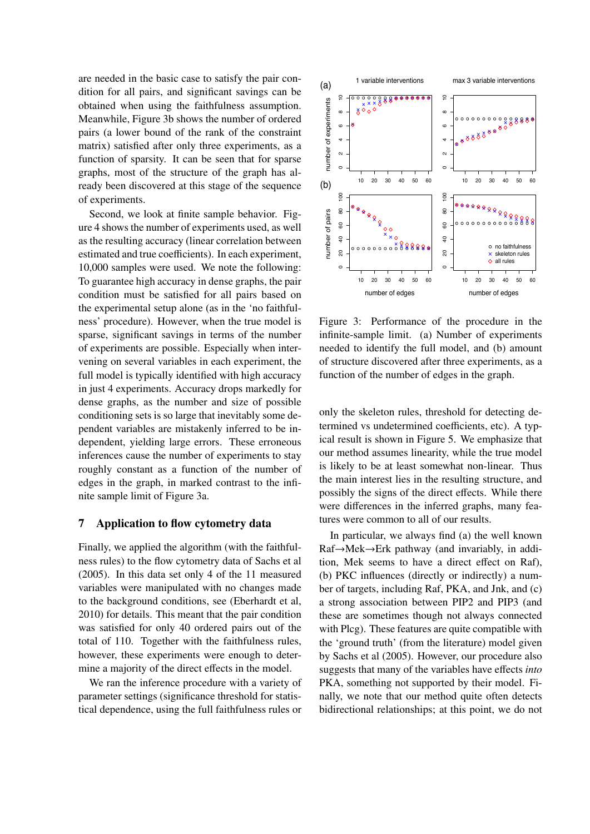are needed in the basic case to satisfy the pair condition for all pairs, and significant savings can be obtained when using the faithfulness assumption. Meanwhile, Figure 3b shows the number of ordered pairs (a lower bound of the rank of the constraint matrix) satisfied after only three experiments, as a function of sparsity. It can be seen that for sparse graphs, most of the structure of the graph has already been discovered at this stage of the sequence of experiments.

Second, we look at finite sample behavior. Figure 4 shows the number of experiments used, as well as the resulting accuracy (linear correlation between estimated and true coefficients). In each experiment, 10,000 samples were used. We note the following: To guarantee high accuracy in dense graphs, the pair condition must be satisfied for all pairs based on the experimental setup alone (as in the 'no faithfulness' procedure). However, when the true model is sparse, significant savings in terms of the number of experiments are possible. Especially when intervening on several variables in each experiment, the full model is typically identified with high accuracy in just 4 experiments. Accuracy drops markedly for dense graphs, as the number and size of possible conditioning sets is so large that inevitably some dependent variables are mistakenly inferred to be independent, yielding large errors. These erroneous inferences cause the number of experiments to stay roughly constant as a function of the number of edges in the graph, in marked contrast to the infinite sample limit of Figure 3a.

#### 7 Application to flow cytometry data

Finally, we applied the algorithm (with the faithfulness rules) to the flow cytometry data of Sachs et al (2005). In this data set only 4 of the 11 measured variables were manipulated with no changes made to the background conditions, see (Eberhardt et al, 2010) for details. This meant that the pair condition was satisfied for only 40 ordered pairs out of the total of 110. Together with the faithfulness rules, however, these experiments were enough to determine a majority of the direct effects in the model.

We ran the inference procedure with a variety of parameter settings (significance threshold for statistical dependence, using the full faithfulness rules or



Figure 3: Performance of the procedure in the infinite-sample limit. (a) Number of experiments needed to identify the full model, and (b) amount of structure discovered after three experiments, as a function of the number of edges in the graph.

only the skeleton rules, threshold for detecting determined vs undetermined coefficients, etc). A typical result is shown in Figure 5. We emphasize that our method assumes linearity, while the true model is likely to be at least somewhat non-linear. Thus the main interest lies in the resulting structure, and possibly the signs of the direct effects. While there were differences in the inferred graphs, many features were common to all of our results.

In particular, we always find (a) the well known Raf→Mek→Erk pathway (and invariably, in addition, Mek seems to have a direct effect on Raf), (b) PKC influences (directly or indirectly) a number of targets, including Raf, PKA, and Jnk, and (c) a strong association between PIP2 and PIP3 (and these are sometimes though not always connected with Plcg). These features are quite compatible with the 'ground truth' (from the literature) model given by Sachs et al (2005). However, our procedure also suggests that many of the variables have effects *into* PKA, something not supported by their model. Finally, we note that our method quite often detects bidirectional relationships; at this point, we do not